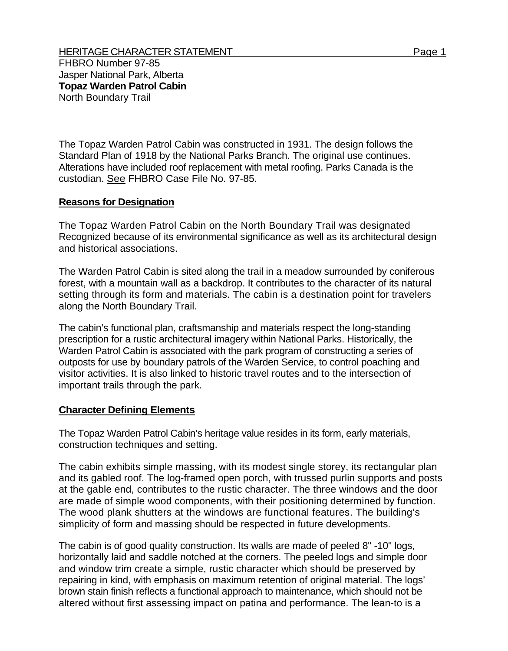The Topaz Warden Patrol Cabin was constructed in 1931. The design follows the Standard Plan of 1918 by the National Parks Branch. The original use continues. Alterations have included roof replacement with metal roofing. Parks Canada is the custodian. See FHBRO Case File No. 97-85.

## **Reasons for Designation**

The Topaz Warden Patrol Cabin on the North Boundary Trail was designated Recognized because of its environmental significance as well as its architectural design and historical associations.

The Warden Patrol Cabin is sited along the trail in a meadow surrounded by coniferous forest, with a mountain wall as a backdrop. It contributes to the character of its natural setting through its form and materials. The cabin is a destination point for travelers along the North Boundary Trail.

The cabin's functional plan, craftsmanship and materials respect the long-standing prescription for a rustic architectural imagery within National Parks. Historically, the Warden Patrol Cabin is associated with the park program of constructing a series of outposts for use by boundary patrols of the Warden Service, to control poaching and visitor activities. It is also linked to historic travel routes and to the intersection of important trails through the park.

## **Character Defining Elements**

The Topaz Warden Patrol Cabin's heritage value resides in its form, early materials, construction techniques and setting.

The cabin exhibits simple massing, with its modest single storey, its rectangular plan and its gabled roof. The log-framed open porch, with trussed purlin supports and posts at the gable end, contributes to the rustic character. The three windows and the door are made of simple wood components, with their positioning determined by function. The wood plank shutters at the windows are functional features. The building's simplicity of form and massing should be respected in future developments.

The cabin is of good quality construction. Its walls are made of peeled 8" -10" logs, horizontally laid and saddle notched at the corners. The peeled logs and simple door and window trim create a simple, rustic character which should be preserved by repairing in kind, with emphasis on maximum retention of original material. The logs' brown stain finish reflects a functional approach to maintenance, which should not be altered without first assessing impact on patina and performance. The lean-to is a